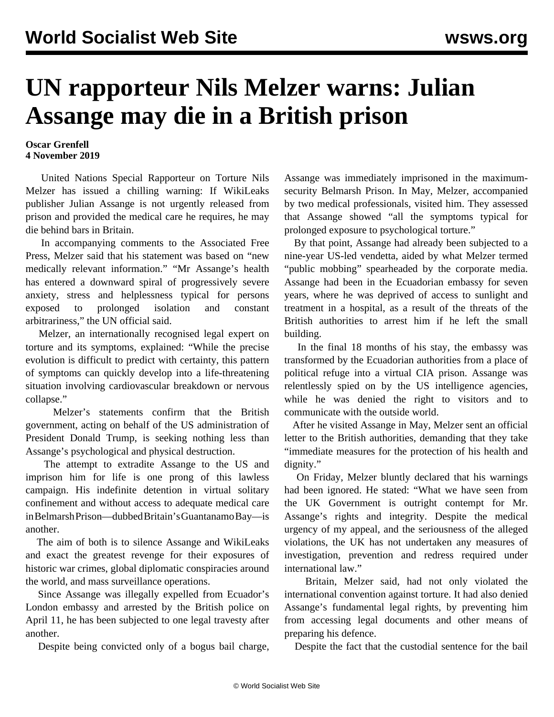## **UN rapporteur Nils Melzer warns: Julian Assange may die in a British prison**

## **Oscar Grenfell 4 November 2019**

 United Nations Special Rapporteur on Torture Nils Melzer has issued a chilling warning: If WikiLeaks publisher Julian Assange is not urgently released from prison and provided the medical care he requires, he may die behind bars in Britain.

 In accompanying comments to the Associated Free Press, Melzer said that his statement was based on "new medically relevant information." "Mr Assange's health has entered a downward spiral of progressively severe anxiety, stress and helplessness typical for persons exposed to prolonged isolation and constant arbitrariness," the UN official said.

 Melzer, an internationally recognised legal expert on torture and its symptoms, explained: "While the precise evolution is difficult to predict with certainty, this pattern of symptoms can quickly develop into a life-threatening situation involving cardiovascular breakdown or nervous collapse."

 Melzer's statements confirm that the British government, acting on behalf of the US administration of President Donald Trump, is seeking nothing less than Assange's psychological and physical destruction.

 The attempt to extradite Assange to the US and imprison him for life is one prong of this lawless campaign. His indefinite detention in virtual solitary confinement and without access to adequate medical care in Belmarsh Prison—dubbed Britain's Guantanamo Bay—is another.

 The aim of both is to silence Assange and WikiLeaks and exact the greatest revenge for their exposures of historic war crimes, global diplomatic conspiracies around the world, and mass surveillance operations.

 Since Assange was illegally expelled from Ecuador's London embassy and arrested by the British police on April 11, he has been subjected to one legal travesty after another.

Despite being convicted only of a bogus bail charge,

Assange was immediately imprisoned in the maximumsecurity Belmarsh Prison. In May, Melzer, accompanied by two medical professionals, visited him. They assessed that Assange showed "all the symptoms typical for prolonged exposure to psychological torture."

 By that point, Assange had already been subjected to a nine-year US-led vendetta, aided by what Melzer termed "public mobbing" spearheaded by the corporate media. Assange had been in the Ecuadorian embassy for seven years, where he was deprived of access to sunlight and treatment in a hospital, as a result of the threats of the British authorities to arrest him if he left the small building.

 In the final 18 months of his stay, the embassy was transformed by the Ecuadorian authorities from a place of political refuge into a virtual CIA prison. Assange was relentlessly spied on by the US intelligence agencies, while he was denied the right to visitors and to communicate with the outside world.

 After he visited Assange in May, Melzer sent an official letter to the British authorities, demanding that they take "immediate measures for the protection of his health and dignity."

 On Friday, Melzer bluntly declared that his warnings had been ignored. He stated: "What we have seen from the UK Government is outright contempt for Mr. Assange's rights and integrity. Despite the medical urgency of my appeal, and the seriousness of the alleged violations, the UK has not undertaken any measures of investigation, prevention and redress required under international law."

 Britain, Melzer said, had not only violated the international convention against torture. It had also denied Assange's fundamental legal rights, by preventing him from accessing legal documents and other means of preparing his defence.

Despite the fact that the custodial sentence for the bail